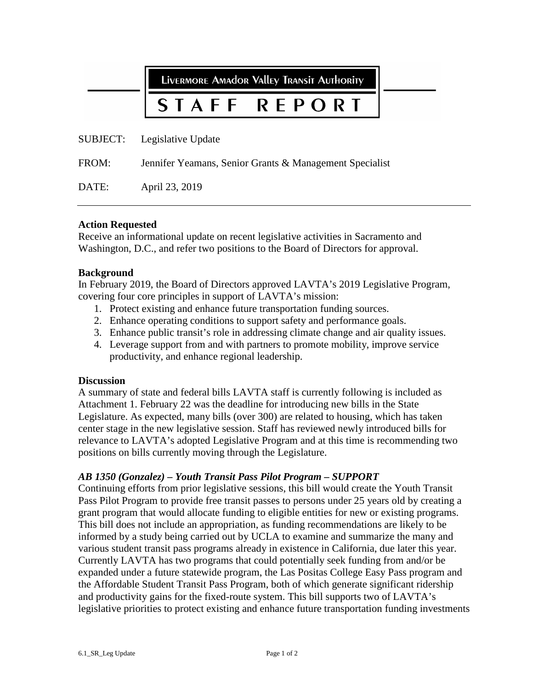LIVERMORE AMAdOR VAlley TRANSIT AUTHORITY

#### **RFPORT** STAFF

SUBJECT: Legislative Update

FROM: Jennifer Yeamans, Senior Grants & Management Specialist

DATE: April 23, 2019

#### **Action Requested**

Receive an informational update on recent legislative activities in Sacramento and Washington, D.C., and refer two positions to the Board of Directors for approval.

#### **Background**

In February 2019, the Board of Directors approved LAVTA's 2019 Legislative Program, covering four core principles in support of LAVTA's mission:

- 1. Protect existing and enhance future transportation funding sources.
- 2. Enhance operating conditions to support safety and performance goals.
- 3. Enhance public transit's role in addressing climate change and air quality issues.
- 4. Leverage support from and with partners to promote mobility, improve service productivity, and enhance regional leadership.

#### **Discussion**

A summary of state and federal bills LAVTA staff is currently following is included as Attachment 1. February 22 was the deadline for introducing new bills in the State Legislature. As expected, many bills (over 300) are related to housing, which has taken center stage in the new legislative session. Staff has reviewed newly introduced bills for relevance to LAVTA's adopted Legislative Program and at this time is recommending two positions on bills currently moving through the Legislature.

### *AB 1350 (Gonzalez) – Youth Transit Pass Pilot Program – SUPPORT*

Continuing efforts from prior legislative sessions, this bill would create the Youth Transit Pass Pilot Program to provide free transit passes to persons under 25 years old by creating a grant program that would allocate funding to eligible entities for new or existing programs. This bill does not include an appropriation, as funding recommendations are likely to be informed by a study being carried out by UCLA to examine and summarize the many and various student transit pass programs already in existence in California, due later this year. Currently LAVTA has two programs that could potentially seek funding from and/or be expanded under a future statewide program, the Las Positas College Easy Pass program and the Affordable Student Transit Pass Program, both of which generate significant ridership and productivity gains for the fixed-route system. This bill supports two of LAVTA's legislative priorities to protect existing and enhance future transportation funding investments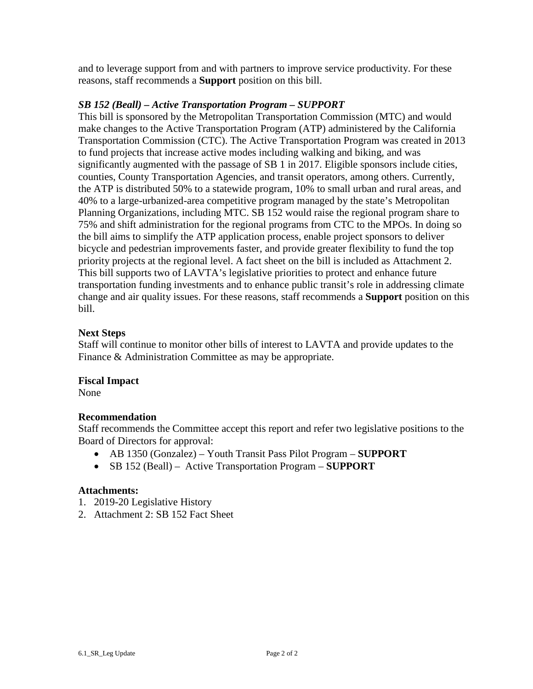and to leverage support from and with partners to improve service productivity. For these reasons, staff recommends a **Support** position on this bill.

## *SB 152 (Beall) – Active Transportation Program – SUPPORT*

This bill is sponsored by the Metropolitan Transportation Commission (MTC) and would make changes to the Active Transportation Program (ATP) administered by the California Transportation Commission (CTC). The Active Transportation Program was created in 2013 to fund projects that increase active modes including walking and biking, and was significantly augmented with the passage of SB 1 in 2017. Eligible sponsors include cities, counties, County Transportation Agencies, and transit operators, among others. Currently, the ATP is distributed 50% to a statewide program, 10% to small urban and rural areas, and 40% to a large-urbanized-area competitive program managed by the state's Metropolitan Planning Organizations, including MTC. SB 152 would raise the regional program share to 75% and shift administration for the regional programs from CTC to the MPOs. In doing so the bill aims to simplify the ATP application process, enable project sponsors to deliver bicycle and pedestrian improvements faster, and provide greater flexibility to fund the top priority projects at the regional level. A fact sheet on the bill is included as Attachment 2. This bill supports two of LAVTA's legislative priorities to protect and enhance future transportation funding investments and to enhance public transit's role in addressing climate change and air quality issues. For these reasons, staff recommends a **Support** position on this bill.

## **Next Steps**

Staff will continue to monitor other bills of interest to LAVTA and provide updates to the Finance & Administration Committee as may be appropriate.

### **Fiscal Impact**

None

## **Recommendation**

Staff recommends the Committee accept this report and refer two legislative positions to the Board of Directors for approval:

- AB 1350 (Gonzalez) Youth Transit Pass Pilot Program **SUPPORT**
- SB 152 (Beall) Active Transportation Program **SUPPORT**

### **Attachments:**

- 1. 2019-20 Legislative History
- 2. Attachment 2: SB 152 Fact Sheet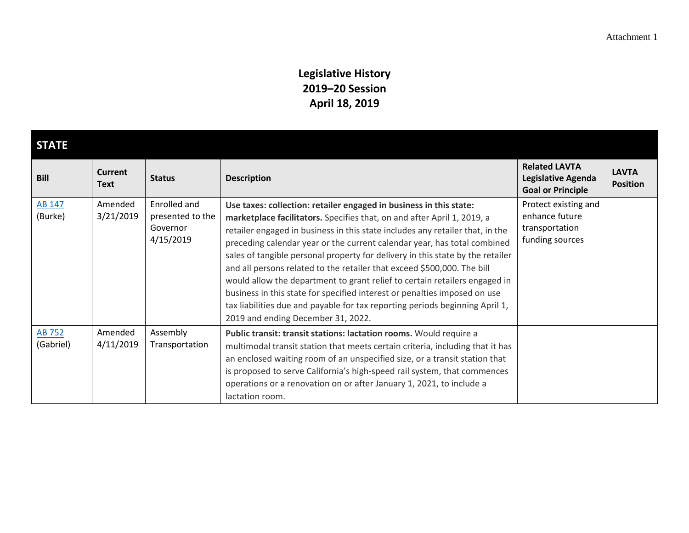## **Legislative History 2019–20 Session April 18, 2019**

| <b>STATE</b>               |                               |                                                           |                                                                                                                                                                                                                                                                                                                                                                                                                                                                                                                                                                                                                                                                                                                                                          |                                                                             |                                 |  |
|----------------------------|-------------------------------|-----------------------------------------------------------|----------------------------------------------------------------------------------------------------------------------------------------------------------------------------------------------------------------------------------------------------------------------------------------------------------------------------------------------------------------------------------------------------------------------------------------------------------------------------------------------------------------------------------------------------------------------------------------------------------------------------------------------------------------------------------------------------------------------------------------------------------|-----------------------------------------------------------------------------|---------------------------------|--|
| <b>Bill</b>                | <b>Current</b><br><b>Text</b> | <b>Status</b>                                             | <b>Description</b>                                                                                                                                                                                                                                                                                                                                                                                                                                                                                                                                                                                                                                                                                                                                       | <b>Related LAVTA</b><br>Legislative Agenda<br><b>Goal or Principle</b>      | <b>LAVTA</b><br><b>Position</b> |  |
| <b>AB 147</b><br>(Burke)   | Amended<br>3/21/2019          | Enrolled and<br>presented to the<br>Governor<br>4/15/2019 | Use taxes: collection: retailer engaged in business in this state:<br>marketplace facilitators. Specifies that, on and after April 1, 2019, a<br>retailer engaged in business in this state includes any retailer that, in the<br>preceding calendar year or the current calendar year, has total combined<br>sales of tangible personal property for delivery in this state by the retailer<br>and all persons related to the retailer that exceed \$500,000. The bill<br>would allow the department to grant relief to certain retailers engaged in<br>business in this state for specified interest or penalties imposed on use<br>tax liabilities due and payable for tax reporting periods beginning April 1,<br>2019 and ending December 31, 2022. | Protect existing and<br>enhance future<br>transportation<br>funding sources |                                 |  |
| <b>AB 752</b><br>(Gabriel) | Amended<br>4/11/2019          | Assembly<br>Transportation                                | Public transit: transit stations: lactation rooms. Would require a<br>multimodal transit station that meets certain criteria, including that it has<br>an enclosed waiting room of an unspecified size, or a transit station that<br>is proposed to serve California's high-speed rail system, that commences<br>operations or a renovation on or after January 1, 2021, to include a<br>lactation room.                                                                                                                                                                                                                                                                                                                                                 |                                                                             |                                 |  |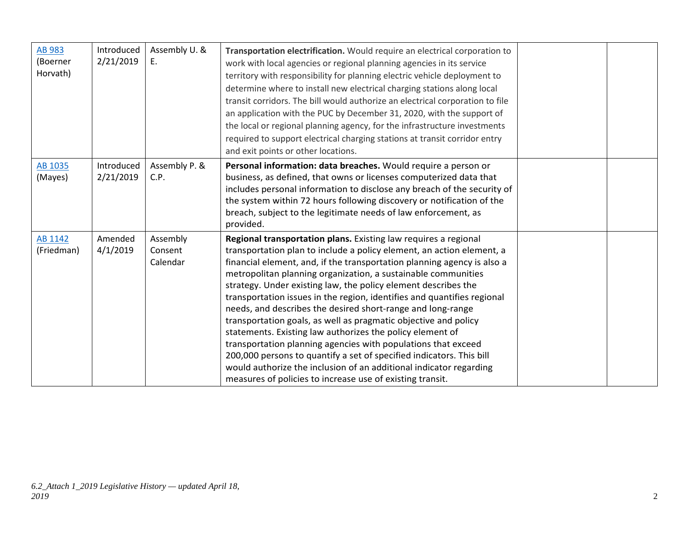| <b>AB 983</b><br>(Boerner<br>Horvath) | Introduced<br>2/21/2019 | Assembly U. &<br>Ε.             | Transportation electrification. Would require an electrical corporation to<br>work with local agencies or regional planning agencies in its service<br>territory with responsibility for planning electric vehicle deployment to<br>determine where to install new electrical charging stations along local<br>transit corridors. The bill would authorize an electrical corporation to file<br>an application with the PUC by December 31, 2020, with the support of<br>the local or regional planning agency, for the infrastructure investments<br>required to support electrical charging stations at transit corridor entry<br>and exit points or other locations.                                                                                                                                                                                                                                                   |  |
|---------------------------------------|-------------------------|---------------------------------|---------------------------------------------------------------------------------------------------------------------------------------------------------------------------------------------------------------------------------------------------------------------------------------------------------------------------------------------------------------------------------------------------------------------------------------------------------------------------------------------------------------------------------------------------------------------------------------------------------------------------------------------------------------------------------------------------------------------------------------------------------------------------------------------------------------------------------------------------------------------------------------------------------------------------|--|
| AB 1035<br>(Mayes)                    | Introduced<br>2/21/2019 | Assembly P. &<br>C.P.           | Personal information: data breaches. Would require a person or<br>business, as defined, that owns or licenses computerized data that<br>includes personal information to disclose any breach of the security of<br>the system within 72 hours following discovery or notification of the<br>breach, subject to the legitimate needs of law enforcement, as                                                                                                                                                                                                                                                                                                                                                                                                                                                                                                                                                                |  |
| AB 1142<br>(Friedman)                 | Amended<br>4/1/2019     | Assembly<br>Consent<br>Calendar | provided.<br>Regional transportation plans. Existing law requires a regional<br>transportation plan to include a policy element, an action element, a<br>financial element, and, if the transportation planning agency is also a<br>metropolitan planning organization, a sustainable communities<br>strategy. Under existing law, the policy element describes the<br>transportation issues in the region, identifies and quantifies regional<br>needs, and describes the desired short-range and long-range<br>transportation goals, as well as pragmatic objective and policy<br>statements. Existing law authorizes the policy element of<br>transportation planning agencies with populations that exceed<br>200,000 persons to quantify a set of specified indicators. This bill<br>would authorize the inclusion of an additional indicator regarding<br>measures of policies to increase use of existing transit. |  |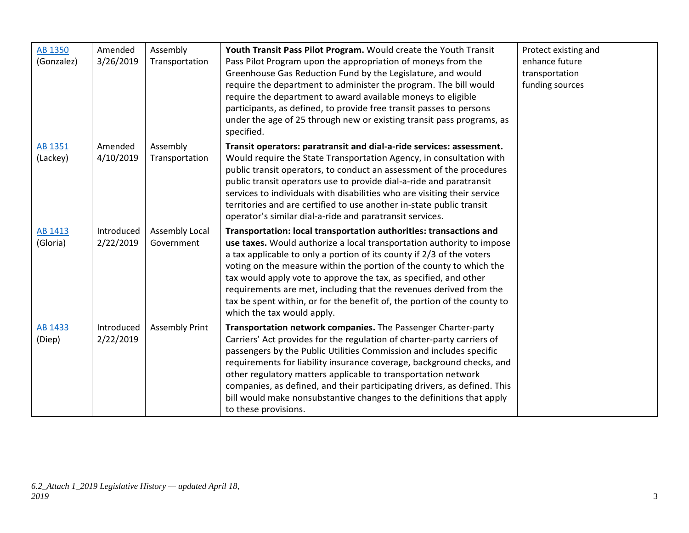| AB 1350<br>(Gonzalez)    | Amended<br>3/26/2019    | Assembly<br>Transportation   | Youth Transit Pass Pilot Program. Would create the Youth Transit<br>Pass Pilot Program upon the appropriation of moneys from the<br>Greenhouse Gas Reduction Fund by the Legislature, and would<br>require the department to administer the program. The bill would<br>require the department to award available moneys to eligible<br>participants, as defined, to provide free transit passes to persons<br>under the age of 25 through new or existing transit pass programs, as<br>specified.                                               | Protect existing and<br>enhance future<br>transportation<br>funding sources |  |
|--------------------------|-------------------------|------------------------------|-------------------------------------------------------------------------------------------------------------------------------------------------------------------------------------------------------------------------------------------------------------------------------------------------------------------------------------------------------------------------------------------------------------------------------------------------------------------------------------------------------------------------------------------------|-----------------------------------------------------------------------------|--|
| AB 1351<br>(Lackey)      | Amended<br>4/10/2019    | Assembly<br>Transportation   | Transit operators: paratransit and dial-a-ride services: assessment.<br>Would require the State Transportation Agency, in consultation with<br>public transit operators, to conduct an assessment of the procedures<br>public transit operators use to provide dial-a-ride and paratransit<br>services to individuals with disabilities who are visiting their service<br>territories and are certified to use another in-state public transit<br>operator's similar dial-a-ride and paratransit services.                                      |                                                                             |  |
| AB 1413<br>(Gloria)      | Introduced<br>2/22/2019 | Assembly Local<br>Government | Transportation: local transportation authorities: transactions and<br>use taxes. Would authorize a local transportation authority to impose<br>a tax applicable to only a portion of its county if 2/3 of the voters<br>voting on the measure within the portion of the county to which the<br>tax would apply vote to approve the tax, as specified, and other<br>requirements are met, including that the revenues derived from the<br>tax be spent within, or for the benefit of, the portion of the county to<br>which the tax would apply. |                                                                             |  |
| <b>AB 1433</b><br>(Diep) | Introduced<br>2/22/2019 | <b>Assembly Print</b>        | Transportation network companies. The Passenger Charter-party<br>Carriers' Act provides for the regulation of charter-party carriers of<br>passengers by the Public Utilities Commission and includes specific<br>requirements for liability insurance coverage, background checks, and<br>other regulatory matters applicable to transportation network<br>companies, as defined, and their participating drivers, as defined. This<br>bill would make nonsubstantive changes to the definitions that apply<br>to these provisions.            |                                                                             |  |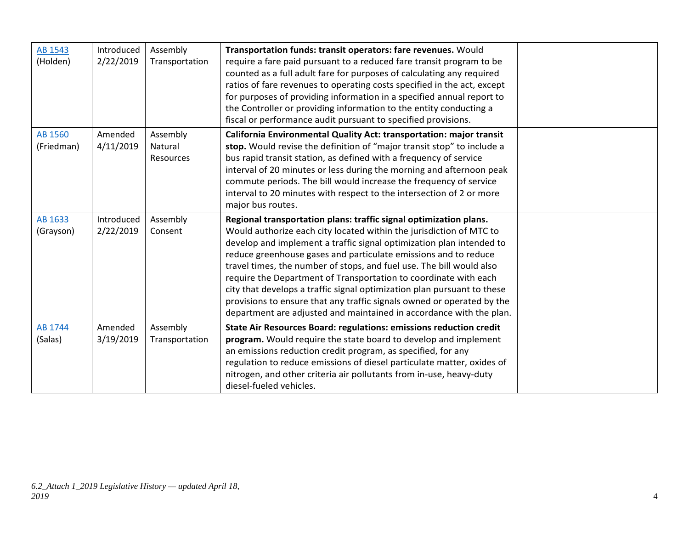| AB 1543<br>(Holden)   | Introduced<br>2/22/2019 | Assembly<br>Transportation       | Transportation funds: transit operators: fare revenues. Would<br>require a fare paid pursuant to a reduced fare transit program to be<br>counted as a full adult fare for purposes of calculating any required<br>ratios of fare revenues to operating costs specified in the act, except<br>for purposes of providing information in a specified annual report to<br>the Controller or providing information to the entity conducting a<br>fiscal or performance audit pursuant to specified provisions.                                                                                                                                                   |  |
|-----------------------|-------------------------|----------------------------------|-------------------------------------------------------------------------------------------------------------------------------------------------------------------------------------------------------------------------------------------------------------------------------------------------------------------------------------------------------------------------------------------------------------------------------------------------------------------------------------------------------------------------------------------------------------------------------------------------------------------------------------------------------------|--|
| AB 1560<br>(Friedman) | Amended<br>4/11/2019    | Assembly<br>Natural<br>Resources | California Environmental Quality Act: transportation: major transit<br>stop. Would revise the definition of "major transit stop" to include a<br>bus rapid transit station, as defined with a frequency of service<br>interval of 20 minutes or less during the morning and afternoon peak<br>commute periods. The bill would increase the frequency of service<br>interval to 20 minutes with respect to the intersection of 2 or more<br>major bus routes.                                                                                                                                                                                                |  |
| AB 1633<br>(Grayson)  | Introduced<br>2/22/2019 | Assembly<br>Consent              | Regional transportation plans: traffic signal optimization plans.<br>Would authorize each city located within the jurisdiction of MTC to<br>develop and implement a traffic signal optimization plan intended to<br>reduce greenhouse gases and particulate emissions and to reduce<br>travel times, the number of stops, and fuel use. The bill would also<br>require the Department of Transportation to coordinate with each<br>city that develops a traffic signal optimization plan pursuant to these<br>provisions to ensure that any traffic signals owned or operated by the<br>department are adjusted and maintained in accordance with the plan. |  |
| AB 1744<br>(Salas)    | Amended<br>3/19/2019    | Assembly<br>Transportation       | State Air Resources Board: regulations: emissions reduction credit<br>program. Would require the state board to develop and implement<br>an emissions reduction credit program, as specified, for any<br>regulation to reduce emissions of diesel particulate matter, oxides of<br>nitrogen, and other criteria air pollutants from in-use, heavy-duty<br>diesel-fueled vehicles.                                                                                                                                                                                                                                                                           |  |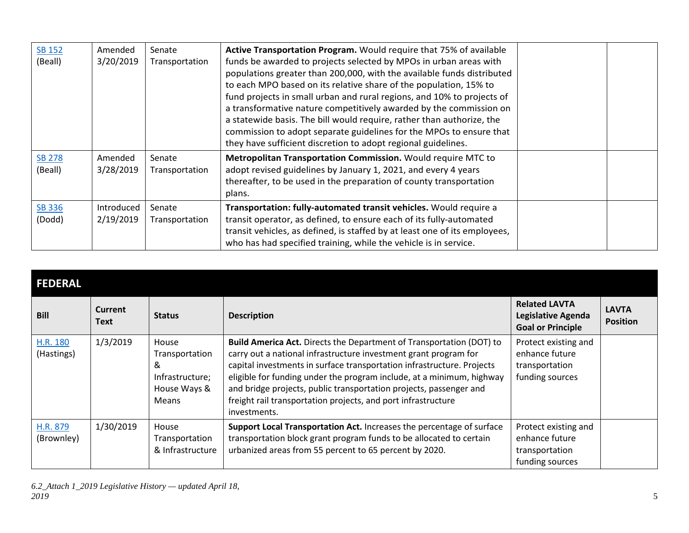| <b>SB 152</b><br>(Beall) | Amended<br>3/20/2019    | Senate<br>Transportation | Active Transportation Program. Would require that 75% of available<br>funds be awarded to projects selected by MPOs in urban areas with<br>populations greater than 200,000, with the available funds distributed<br>to each MPO based on its relative share of the population, 15% to<br>fund projects in small urban and rural regions, and 10% to projects of<br>a transformative nature competitively awarded by the commission on<br>a statewide basis. The bill would require, rather than authorize, the<br>commission to adopt separate guidelines for the MPOs to ensure that<br>they have sufficient discretion to adopt regional guidelines. |  |
|--------------------------|-------------------------|--------------------------|---------------------------------------------------------------------------------------------------------------------------------------------------------------------------------------------------------------------------------------------------------------------------------------------------------------------------------------------------------------------------------------------------------------------------------------------------------------------------------------------------------------------------------------------------------------------------------------------------------------------------------------------------------|--|
| <b>SB 278</b><br>(Beall) | Amended<br>3/28/2019    | Senate<br>Transportation | Metropolitan Transportation Commission. Would require MTC to<br>adopt revised guidelines by January 1, 2021, and every 4 years<br>thereafter, to be used in the preparation of county transportation<br>plans.                                                                                                                                                                                                                                                                                                                                                                                                                                          |  |
| <b>SB 336</b><br>(Dodd)  | Introduced<br>2/19/2019 | Senate<br>Transportation | Transportation: fully-automated transit vehicles. Would require a<br>transit operator, as defined, to ensure each of its fully-automated<br>transit vehicles, as defined, is staffed by at least one of its employees,<br>who has had specified training, while the vehicle is in service.                                                                                                                                                                                                                                                                                                                                                              |  |

#### **FEDERAL Bill Current River Text Status Description Related LAVTA Legislative Agenda Goal or Principle LAVTA Position** [H.R. 180](https://www.congress.gov/bill/116th-congress/house-bill/180) (Hastings) 1/3/2019 House Transportation & Infrastructure; House Ways & Means **Build America Act.** Directs the Department of Transportation (DOT) to carry out a national infrastructure investment grant program for capital investments in surface transportation infrastructure. Projects eligible for funding under the program include, at a minimum, highway and bridge projects, public transportation projects, passenger and freight rail transportation projects, and port infrastructure investments. Protect existing and enhance future transportation funding sources [H.R. 879](https://www.congress.gov/bill/116th-congress/house-bill/879) (Brownley) 1/30/2019 House **Transportation** & Infrastructure **Support Local Transportation Act.** Increases the percentage of surface transportation block grant program funds to be allocated to certain urbanized areas from 55 percent to 65 percent by 2020. Protect existing and enhance future transportation funding sources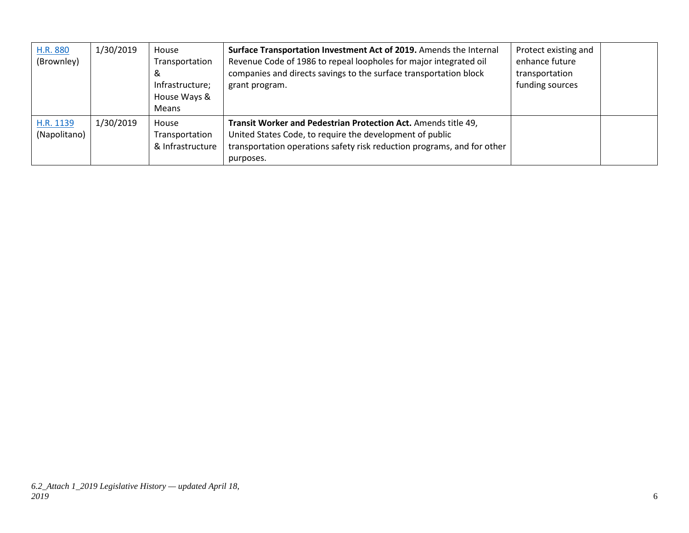| H.R. 880<br>(Brownley)    | 1/30/2019 | House<br>Transportation<br>ఠ<br>Infrastructure;<br>House Ways &<br><b>Means</b> | Surface Transportation Investment Act of 2019. Amends the Internal<br>Revenue Code of 1986 to repeal loopholes for major integrated oil<br>companies and directs savings to the surface transportation block<br>grant program. | Protect existing and<br>enhance future<br>transportation<br>funding sources |  |
|---------------------------|-----------|---------------------------------------------------------------------------------|--------------------------------------------------------------------------------------------------------------------------------------------------------------------------------------------------------------------------------|-----------------------------------------------------------------------------|--|
| H.R. 1139<br>(Napolitano) | 1/30/2019 | House<br>Transportation<br>& Infrastructure                                     | Transit Worker and Pedestrian Protection Act. Amends title 49,<br>United States Code, to require the development of public<br>transportation operations safety risk reduction programs, and for other<br>purposes.             |                                                                             |  |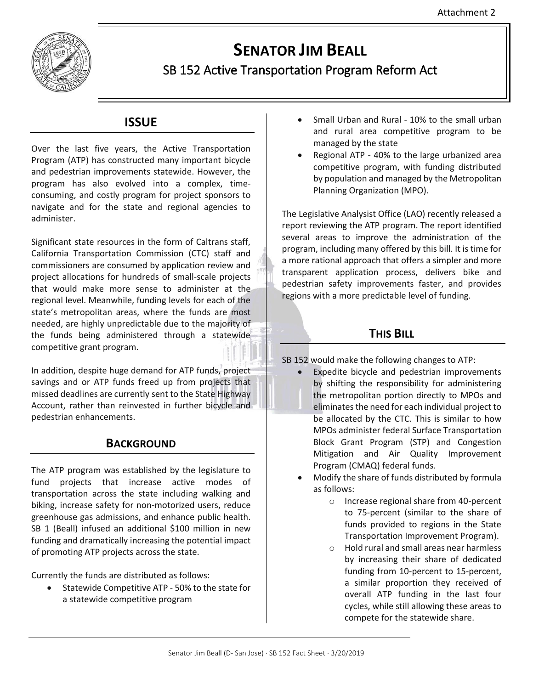

# **SENATOR JIM BEALL**

## SB 152 Active Transportation Program Reform Act

## **ISSUE**

Over the last five years, the Active Transportation Program (ATP) has constructed many important bicycle and pedestrian improvements statewide. However, the program has also evolved into a complex, timeconsuming, and costly program for project sponsors to navigate and for the state and regional agencies to administer.

Significant state resources in the form of Caltrans staff, California Transportation Commission (CTC) staff and commissioners are consumed by application review and project allocations for hundreds of small-scale projects that would make more sense to administer at the regional level. Meanwhile, funding levels for each of the state's metropolitan areas, where the funds are most needed, are highly unpredictable due to the majority of the funds being administered through a statewide competitive grant program.

In addition, despite huge demand for ATP funds, project savings and or ATP funds freed up from projects that missed deadlines are currently sent to the State Highway Account, rather than reinvested in further bicycle and pedestrian enhancements.

## **BACKGROUND**

The ATP program was established by the legislature to fund projects that increase active modes of transportation across the state including walking and biking, increase safety for non-motorized users, reduce greenhouse gas admissions, and enhance public health. SB 1 (Beall) infused an additional \$100 million in new funding and dramatically increasing the potential impact of promoting ATP projects across the state.

Currently the funds are distributed as follows:

 Statewide Competitive ATP - 50% to the state for a statewide competitive program

- Small Urban and Rural 10% to the small urban and rural area competitive program to be managed by the state
- Regional ATP 40% to the large urbanized area competitive program, with funding distributed by population and managed by the Metropolitan Planning Organization (MPO).

The Legislative Analysist Office (LAO) recently released a report reviewing the ATP program. The report identified several areas to improve the administration of the program, including many offered by this bill. It is time for a more rational approach that offers a simpler and more transparent application process, delivers bike and pedestrian safety improvements faster, and provides regions with a more predictable level of funding.

## **THIS BILL**

SB 152 would make the following changes to ATP:

- Expedite bicycle and pedestrian improvements by shifting the responsibility for administering the metropolitan portion directly to MPOs and eliminates the need for each individual project to be allocated by the CTC. This is similar to how MPOs administer federal Surface Transportation Block Grant Program (STP) and Congestion Mitigation and Air Quality Improvement Program (CMAQ) federal funds.
- Modify the share of funds distributed by formula as follows:
	- o Increase regional share from 40-percent to 75-percent (similar to the share of funds provided to regions in the State Transportation Improvement Program).
	- o Hold rural and small areas near harmless by increasing their share of dedicated funding from 10-percent to 15-percent, a similar proportion they received of overall ATP funding in the last four cycles, while still allowing these areas to compete for the statewide share.